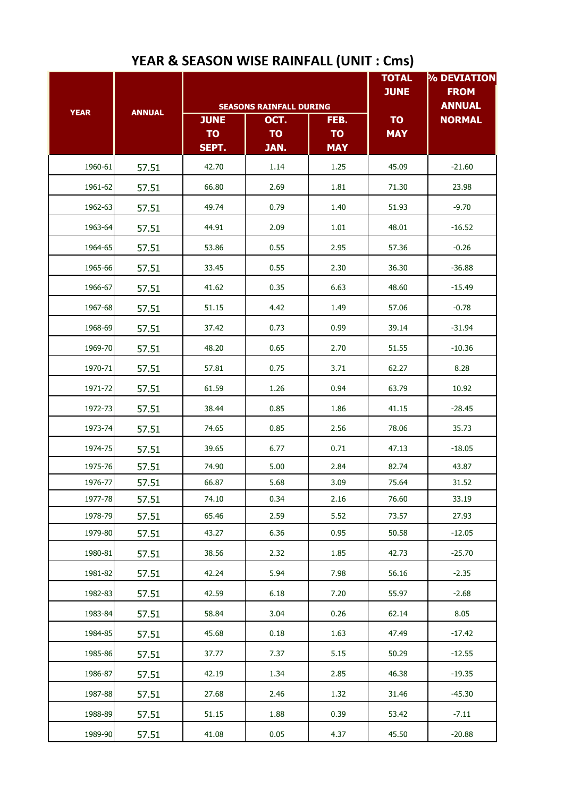|                    | <b>ANNUAL</b>  |                                   |                                                             | <b>TOTAL</b><br><b>JUNE</b>     | % DEVIATION<br><b>FROM</b> |                                |
|--------------------|----------------|-----------------------------------|-------------------------------------------------------------|---------------------------------|----------------------------|--------------------------------|
| <b>YEAR</b>        |                | <b>JUNE</b><br><b>TO</b><br>SEPT. | <b>SEASONS RAINFALL DURING</b><br>OCT.<br><b>TO</b><br>JAN. | FEB.<br><b>TO</b><br><b>MAY</b> | <b>TO</b><br><b>MAY</b>    | <b>ANNUAL</b><br><b>NORMAL</b> |
| 1960-61            | 57.51          | 42.70                             | 1.14                                                        | 1.25                            | 45.09                      | $-21.60$                       |
| 1961-62            | 57.51          | 66.80                             | 2.69                                                        | 1.81                            | 71.30                      | 23.98                          |
| 1962-63            | 57.51          | 49.74                             | 0.79                                                        | 1.40                            | 51.93                      | $-9.70$                        |
| 1963-64            | 57.51          | 44.91                             | 2.09                                                        | 1.01                            | 48.01                      | $-16.52$                       |
| 1964-65            | 57.51          | 53.86                             | 0.55                                                        | 2.95                            | 57.36                      | $-0.26$                        |
| 1965-66            | 57.51          | 33.45                             | 0.55                                                        | 2.30                            | 36.30                      | $-36.88$                       |
| 1966-67            | 57.51          | 41.62                             | 0.35                                                        | 6.63                            | 48.60                      | $-15.49$                       |
| 1967-68            | 57.51          | 51.15                             | 4.42                                                        | 1.49                            | 57.06                      | $-0.78$                        |
| 1968-69            | 57.51          | 37.42                             | 0.73                                                        | 0.99                            | 39.14                      | $-31.94$                       |
| 1969-70            | 57.51          | 48.20                             | 0.65                                                        | 2.70                            | 51.55                      | $-10.36$                       |
| 1970-71            | 57.51          | 57.81                             | 0.75                                                        | 3.71                            | 62.27                      | 8.28                           |
| 1971-72            | 57.51          | 61.59                             | 1.26                                                        | 0.94                            | 63.79                      | 10.92                          |
|                    |                | 38.44                             | 0.85                                                        | 1.86                            |                            | $-28.45$                       |
| 1972-73            | 57.51          |                                   |                                                             |                                 | 41.15                      |                                |
| 1973-74            | 57.51          | 74.65                             | 0.85                                                        | 2.56                            | 78.06                      | 35.73                          |
| 1974-75            | 57.51          | 39.65                             | 6.77                                                        | 0.71                            | 47.13                      | $-18.05$                       |
| 1975-76<br>1976-77 | 57.51          | 74.90<br>66.87                    | 5.00                                                        | 2.84                            | 82.74                      | 43.87                          |
| 1977-78            | 57.51<br>57.51 | 74.10                             | 5.68<br>0.34                                                | 3.09<br>2.16                    | 75.64<br>76.60             | 31.52<br>33.19                 |
| 1978-79            | 57.51          | 65.46                             | 2.59                                                        | 5.52                            | 73.57                      | 27.93                          |
| 1979-80            | 57.51          | 43.27                             | 6.36                                                        | 0.95                            | 50.58                      | $-12.05$                       |
| 1980-81            | 57.51          | 38.56                             | 2.32                                                        | 1.85                            | 42.73                      | $-25.70$                       |
| 1981-82            | 57.51          | 42.24                             | 5.94                                                        | 7.98                            | 56.16                      | $-2.35$                        |
| 1982-83            | 57.51          | 42.59                             | 6.18                                                        | 7.20                            | 55.97                      | $-2.68$                        |
| 1983-84            | 57.51          | 58.84                             | 3.04                                                        | 0.26                            | 62.14                      | 8.05                           |
|                    |                |                                   |                                                             |                                 |                            |                                |
| 1984-85            | 57.51          | 45.68                             | 0.18                                                        | 1.63                            | 47.49                      | $-17.42$                       |
| 1985-86            | 57.51          | 37.77                             | 7.37                                                        | 5.15                            | 50.29                      | $-12.55$                       |
| 1986-87            | 57.51          | 42.19                             | 1.34                                                        | 2.85                            | 46.38                      | $-19.35$                       |
| 1987-88            | 57.51          | 27.68                             | 2.46                                                        | 1.32                            | 31.46                      | $-45.30$                       |
| 1988-89            | 57.51          | 51.15                             | 1.88                                                        | 0.39                            | 53.42                      | $-7.11$                        |
| 1989-90            | 57.51          | 41.08                             | 0.05                                                        | 4.37                            | 45.50                      | $-20.88$                       |

## **YEAR & SEASON WISE RAINFALL (UNIT : Cms)**